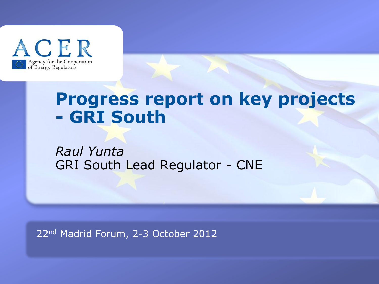

## **Progress report on key projects - GRI South**

*Raul Yunta* GRI South Lead Regulator - CNE

22nd Madrid Forum, 2-3 October 2012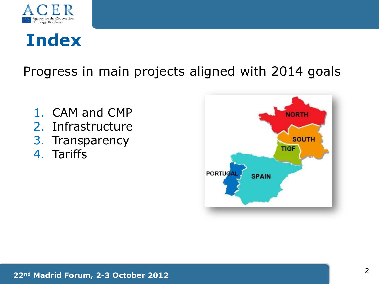

# **Index**

Progress in main projects aligned with 2014 goals

- 1. CAM and CMP
- 2. Infrastructure
- 3. Transparency
- 4. Tariffs

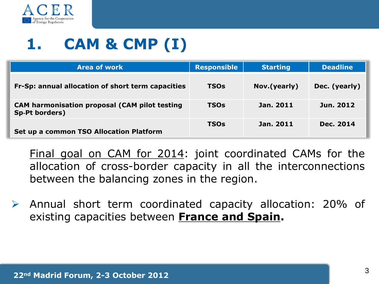

# **1. CAM & CMP (I)**

| <b>Area of work</b>                                                           | <b>Responsible</b> | <b>Starting</b> | <b>Deadline</b> |
|-------------------------------------------------------------------------------|--------------------|-----------------|-----------------|
| Fr-Sp: annual allocation of short term capacities                             | <b>TSOs</b>        | Nov.(yearly)    | Dec. (yearly)   |
| <b>CAM harmonisation proposal (CAM pilot testing</b><br><b>Sp-Pt borders)</b> | <b>TSOs</b>        | Jan. 2011       | Jun. 2012       |
| Set up a common TSO Allocation Platform                                       | <b>TSOs</b>        | Jan. 2011       | Dec. 2014       |

Final goal on CAM for 2014: joint coordinated CAMs for the allocation of cross-border capacity in all the interconnections between the balancing zones in the region.

 Annual short term coordinated capacity allocation: 20% of existing capacities between **France and Spain.**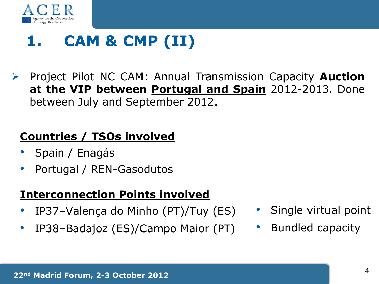

# **1. CAM & CMP (II)**

 Project Pilot NC CAM: Annual Transmission Capacity **Auction at the VIP between Portugal and Spain** 2012-2013. Done between July and September 2012.

#### **Countries / TSOs involved**

- Spain / Enagás
- Portugal / REN-Gasodutos

#### **Interconnection Points involved**

- IP37–Valença do Minho (PT)/Tuy (ES)
- IP38–Badajoz (ES)/Campo Maior (PT)
- Single virtual point
- Bundled capacity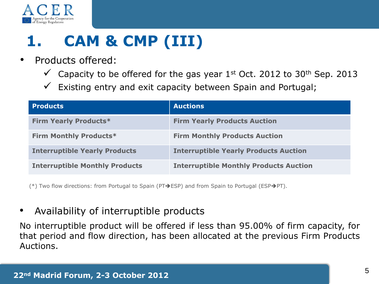

# **1. CAM & CMP (III)**

- Products offered:
	- $\checkmark$  Capacity to be offered for the gas year 1st Oct. 2012 to 30<sup>th</sup> Sep. 2013
	- $\checkmark$  Existing entry and exit capacity between Spain and Portugal;

| <b>Products</b>                       | <b>Auctions</b>                               |
|---------------------------------------|-----------------------------------------------|
| <b>Firm Yearly Products*</b>          | <b>Firm Yearly Products Auction</b>           |
| <b>Firm Monthly Products*</b>         | <b>Firm Monthly Products Auction</b>          |
| <b>Interruptible Yearly Products</b>  | <b>Interruptible Yearly Products Auction</b>  |
| <b>Interruptible Monthly Products</b> | <b>Interruptible Monthly Products Auction</b> |

(\*) Two flow directions: from Portugal to Spain (PT $\rightarrow$ ESP) and from Spain to Portugal (ESP $\rightarrow$ PT).

#### • Availability of interruptible products

No interruptible product will be offered if less than 95.00% of firm capacity, for that period and flow direction, has been allocated at the previous Firm Products Auctions.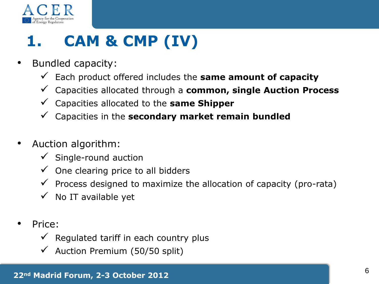

# **1. CAM & CMP (IV)**

- Bundled capacity:
	- $\checkmark$  Each product offered includes the **same amount of capacity**
	- Capacities allocated through a **common, single Auction Process**
	- Capacities allocated to the **same Shipper**
	- Capacities in the **secondary market remain bundled**
- Auction algorithm:
	- $\checkmark$  Single-round auction
	- $\checkmark$  One clearing price to all bidders
	- $\checkmark$  Process designed to maximize the allocation of capacity (pro-rata)
	- $\checkmark$  No IT available yet
- Price:
	- $\checkmark$  Regulated tariff in each country plus
	- Auction Premium (50/50 split)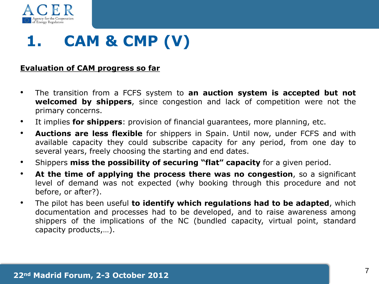

## **1. CAM & CMP (V)**

#### **Evaluation of CAM progress so far**

- The transition from a FCFS system to **an auction system is accepted but not welcomed by shippers**, since congestion and lack of competition were not the primary concerns.
- It implies **for shippers**: provision of financial guarantees, more planning, etc.
- **Auctions are less flexible** for shippers in Spain. Until now, under FCFS and with available capacity they could subscribe capacity for any period, from one day to several years, freely choosing the starting and end dates.
- Shippers **miss the possibility of securing "flat" capacity** for a given period.
- **At the time of applying the process there was no congestion**, so a significant level of demand was not expected (why booking through this procedure and not before, or after?).
- The pilot has been useful **to identify which regulations had to be adapted**, which documentation and processes had to be developed, and to raise awareness among shippers of the implications of the NC (bundled capacity, virtual point, standard capacity products,…).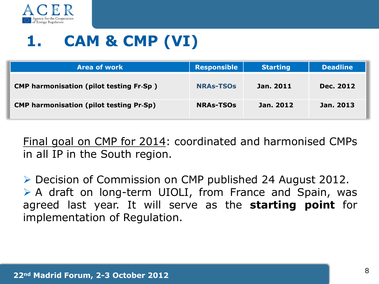

# **1. CAM & CMP (VI)**

| <b>Area of work</b>                            | <b>Responsible</b> | <b>Starting</b> | <b>Deadline</b> |
|------------------------------------------------|--------------------|-----------------|-----------------|
| <b>CMP harmonisation (pilot testing Fr-Sp)</b> | <b>NRAs-TSOs</b>   | Jan. 2011       | Dec. 2012       |
| <b>CMP harmonisation (pilot testing Pr-Sp)</b> | <b>NRAs-TSOs</b>   | Jan. 2012       | Jan. 2013       |

Final goal on CMP for 2014: coordinated and harmonised CMPs in all IP in the South region.

 Decision of Commission on CMP published 24 August 2012.  $\triangleright$  A draft on long-term UIOLI, from France and Spain, was agreed last year. It will serve as the **starting point** for implementation of Regulation.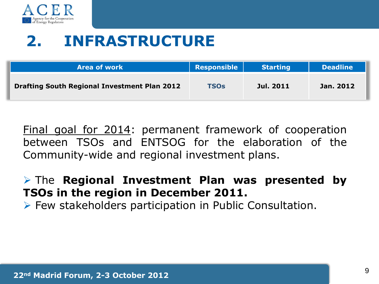

## **2. INFRASTRUCTURE**

| <b>Area of work</b>                                 | Responsible | <b>Starting</b> | <b>Deadline</b> |
|-----------------------------------------------------|-------------|-----------------|-----------------|
| <b>Drafting South Regional Investment Plan 2012</b> | <b>TSOs</b> | Jul. 2011       | Jan. 2012       |

Final goal for 2014: permanent framework of cooperation between TSOs and ENTSOG for the elaboration of the Community-wide and regional investment plans.

 The **Regional Investment Plan was presented by TSOs in the region in December 2011.**

 $\triangleright$  Few stakeholders participation in Public Consultation.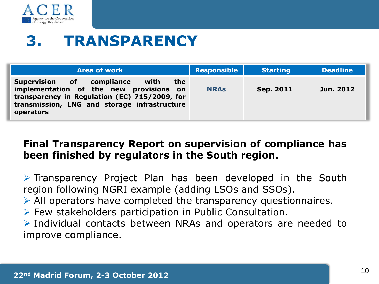

## **3. TRANSPARENCY**

| <b>Area of work</b>                                                                                                                                                                               | <b>Responsible</b> | <b>Starting</b> | <b>Deadline</b> |
|---------------------------------------------------------------------------------------------------------------------------------------------------------------------------------------------------|--------------------|-----------------|-----------------|
| Supervision of compliance<br>with<br>the<br>implementation of the new provisions on<br>transparency in Regulation (EC) 715/2009, for<br>transmission, LNG and storage infrastructure<br>operators | <b>NRAS</b>        | Sep. 2011       | Jun. 2012       |

#### **Final Transparency Report on supervision of compliance has been finished by regulators in the South region.**

 $\triangleright$  Transparency Project Plan has been developed in the South region following NGRI example (adding LSOs and SSOs).

 $\triangleright$  All operators have completed the transparency questionnaires.

 $\triangleright$  Few stakeholders participation in Public Consultation.

 $\triangleright$  Individual contacts between NRAs and operators are needed to improve compliance.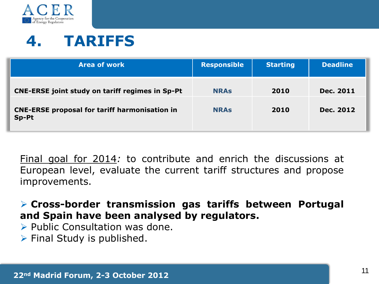

## **4. TARIFFS**

| <b>Area of work</b>                                           | <b>Responsible</b> | <b>Starting</b> | <b>Deadline</b> |
|---------------------------------------------------------------|--------------------|-----------------|-----------------|
| <b>CNE-ERSE joint study on tariff regimes in Sp-Pt</b>        | <b>NRAS</b>        | 2010            | Dec. 2011       |
| <b>CNE-ERSE proposal for tariff harmonisation in</b><br>Sp-Pt | <b>NRAS</b>        | 2010            | Dec. 2012       |

Final goal for 2014*:* to contribute and enrich the discussions at European level, evaluate the current tariff structures and propose improvements.

 **Cross-border transmission gas tariffs between Portugal and Spain have been analysed by regulators.**

- $\triangleright$  Public Consultation was done.
- $\triangleright$  Final Study is published.